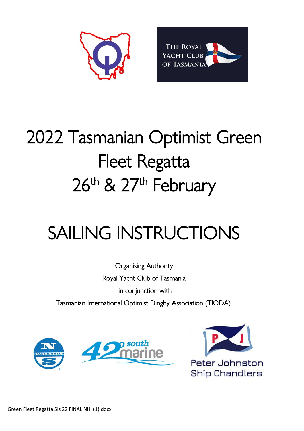



# 2022 Tasmanian Optimist Green Fleet Regatta 26<sup>th</sup> & 27<sup>th</sup> February

# SAILING INSTRUCTIONS

Organising Authority Royal Yacht Club of Tasmania in conjunction with Tasmanian International Optimist Dinghy Association (TIODA).





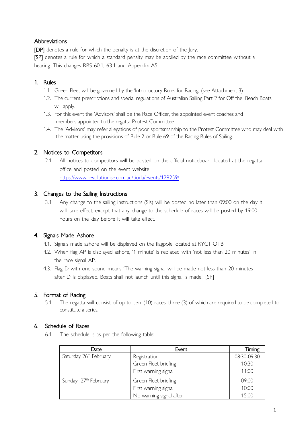#### **Abbreviations**

[DP] denotes a rule for which the penalty is at the discretion of the Jury. [SP] denotes a rule for which a standard penalty may be applied by the race committee without a

hearing. This changes RRS 60.1, 63.1 and Appendix A5.

#### 1. Rules

- 1.1. Green Fleet will be governed by the 'Introductory Rules for Racing' (see Attachment 3).
- 1.2. The current prescriptions and special regulations of Australian Sailing Part 2 for Off the Beach Boats will apply.
- 1.3. For this event the 'Advisors' shall be the Race Officer, the appointed event coaches and members appointed to the regatta Protest Committee.
- 1.4. The 'Advisors' may refer allegations of poor sportsmanship to the Protest Committee who may deal with the matter using the provisions of Rule 2 or Rule 69 of the Racing Rules of Sailing.

#### 2. Notices to Competitors

2.1 All notices to competitors will be posted on the official noticeboard located at the regatta office and posted on the event website <https://www.revolutionise.com.au/tioda/events/129259/>

#### 3. Changes to the Sailing Instructions

3.1 Any change to the sailing instructions (SIs) will be posted no later than 09:00 on the day it will take effect, except that any change to the schedule of races will be posted by 19:00 hours on the day before it will take effect.

#### 4. Signals Made Ashore

- 4.1. Signals made ashore will be displayed on the flagpole located at RYCT OTB.
- 4.2. When flag AP is displayed ashore, '1 minute' is replaced with 'not less than 20 minutes' in the race signal AP.
- 4.3. Flag D with one sound means 'The warning signal will be made not less than 20 minutes after D is displayed. Boats shall not launch until this signal is made.' [SP]

#### 5. Format of Racing

5.1 The regatta will consist of up to ten (10) races; three (3) of which are required to be completed to constitute a series.

#### 6. Schedule of Races

6.1 The schedule is as per the following table:

| Date                   | Event                   | Timing      |
|------------------------|-------------------------|-------------|
| Saturday 26th February | Registration            | 08:30-09:30 |
|                        | Green Fleet briefing    | 10:30       |
|                        | First warning signal    | 11:00       |
| Sunday 27th February   | Green Fleet briefing    | 09:00       |
|                        | First warning signal    | 10:00       |
|                        | No warning signal after | 15:00       |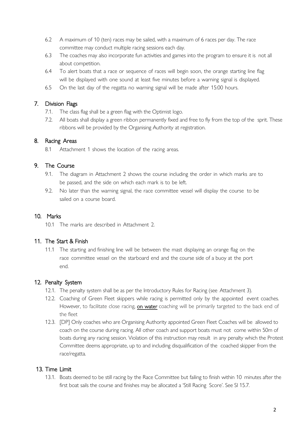- 6.2 A maximum of 10 (ten) races may be sailed, with a maximum of 6 races per day. The race committee may conduct multiple racing sessions each day.
- 6.3 The coaches may also incorporate fun activities and games into the program to ensure it is not all about competition.
- 6.4 To alert boats that a race or sequence of races will begin soon, the orange starting line flag will be displayed with one sound at least five minutes before a warning signal is displayed.
- 6.5 On the last day of the regatta no warning signal will be made after 15:00 hours.

#### 7. Division Flags

- 7.1. The class flag shall be a green flag with the Optimist logo.
- 7.2. All boats shall display a green ribbon permanently fixed and free to fly from the top of the sprit. These ribbons will be provided by the Organising Authority at registration.

#### 8. Racing Areas

8.1 Attachment 1 shows the location of the racing areas.

#### 9. The Course

- 9.1. The diagram in Attachment 2 shows the course including the order in which marks are to be passed, and the side on which each mark is to be left.
- 9.2. No later than the warning signal, the race committee vessel will display the course to be sailed on a course board.

#### 10. Marks

10.1 The marks are described in Attachment 2.

#### 11. The Start & Finish

11.1 The starting and finishing line will be between the mast displaying an orange flag on the race committee vessel on the starboard end and the course side of a buoy at the port end.

#### 12. Penalty System

- 12.1. The penalty system shall be as per the Introductory Rules for Racing (see Attachment 3).
- 12.2. Coaching of Green Fleet skippers while racing is permitted only by the appointed event coaches. However, to facilitate close racing, on water coaching will be primarily targeted to the back end of the fleet
- 12.3. [DP] Only coaches who are Organising Authority appointed Green Fleet Coaches will be allowed to coach on the course during racing. All other coach and support boats must not come within 50m of boats during any racing session. Violation of this instruction may result in any penalty which the Protest Committee deems appropriate, up to and including disqualification of the coached skipper from the race/regatta.

#### 13. Time Limit

13.1. Boats deemed to be still racing by the Race Committee but failing to finish within 10 minutes after the first boat sails the course and finishes may be allocated a 'Still Racing Score'. See SI 15.7.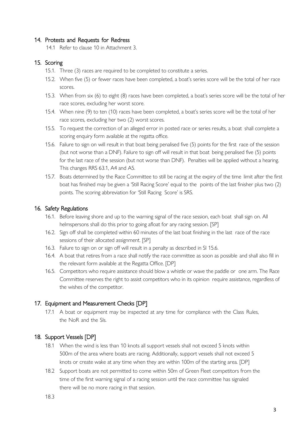#### 14. Protests and Requests for Redress

14.1 Refer to clause 10 in Attachment 3.

#### 15. Scoring

- 15.1. Three (3) races are required to be completed to constitute a series.
- 15.2. When five (5) or fewer races have been completed, a boat's series score will be the total of her race scores.
- 15.3. When from six (6) to eight (8) races have been completed, a boat's series score will be the total of her race scores, excluding her worst score.
- 15.4. When nine (9) to ten (10) races have been completed, a boat's series score will be the total of her race scores, excluding her two (2) worst scores.
- 15.5. To request the correction of an alleged error in posted race or series results, a boat shall complete a scoring enquiry form available at the regatta office.
- 15.6. Failure to sign on will result in that boat being penalised five (5) points for the first race of the session (but not worse than a DNF). Failure to sign off will result in that boat being penalised five (5) points for the last race of the session (but not worse than DNF). Penalties will be applied without a hearing. This changes RRS 63.1, A4 and A5.
- 15.7. Boats determined by the Race Committee to still be racing at the expiry of the time limit after the first boat has finished may be given a 'Still Racing Score' equal to the points of the last finisher plus two (2) points. The scoring abbreviation for 'Still Racing Score' is SRS.

#### 16. Safety Regulations

- 16.1. Before leaving shore and up to the warning signal of the race session, each boat shall sign on. All helmspersons shall do this prior to going afloat for any racing session. [SP]
- 16.2. Sign off shall be completed within 60 minutes of the last boat finishing in the last race of the race sessions of their allocated assignment. [SP]
- 16.3. Failure to sign on or sign off will result in a penalty as described in SI 15.6.
- 16.4. A boat that retires from a race shall notify the race committee as soon as possible and shall also fill in the relevant form available at the Regatta Office. [DP]
- 16.5. Competitors who require assistance should blow a whistle or wave the paddle or one arm. The Race Committee reserves the right to assist competitors who in its opinion require assistance, regardless of the wishes of the competitor.

#### 17. Equipment and Measurement Checks [DP]

17.1 A boat or equipment may be inspected at any time for compliance with the Class Rules, the NoR and the SIs.

#### 18. Support Vessels [DP]

- 18.1 When the wind is less than 10 knots all support vessels shall not exceed 5 knots within 500m of the area where boats are racing. Additionally, support vessels shall not exceed 5 knots or create wake at any time when they are within 100m of the starting area. [DP]
- 18.2 Support boats are not permitted to come within 50m of Green Fleet competitors from the time of the first warning signal of a racing session until the race committee has signaled there will be no more racing in that session.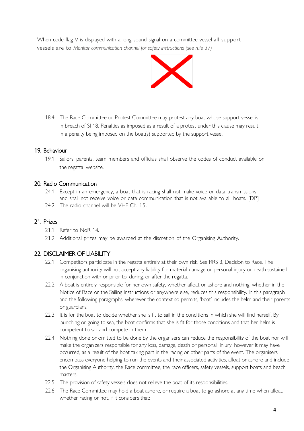When code flag V is displayed with a long sound signal on a committee vessel all support vessels are to *Monitor communication channel for safety instructions (see rule 37)*



18.4 The Race Committee or Protest Committee may protest any boat whose support vessel is in breach of SI 18. Penalties as imposed as a result of a protest under this clause may result in a penalty being imposed on the boat(s) supported by the support vessel.

#### 19. Behaviour

19.1 Sailors, parents, team members and officials shall observe the codes of conduct available on the regatta website.

#### 20. Radio Communication

- 24.1 Except in an emergency, a boat that is racing shall not make voice or data transmissions and shall not receive voice or data communication that is not available to all boats. [DP]
- 24.2 The radio channel will be VHF Ch. 15.

#### 21. Prizes

- 21.1 Refer to NoR 14.
- 21.2 Additional prizes may be awarded at the discretion of the Organising Authority.

#### 22. DISCLAIMER OF LIABILITY

- 22.1 Competitors participate in the regatta entirely at their own risk. See RRS 3, Decision to Race. The organising authority will not accept any liability for material damage or personal injury or death sustained in conjunction with or prior to, during, or after the regatta.
- 22.2 A boat is entirely responsible for her own safety, whether afloat or ashore and nothing, whether in the Notice of Race or the Sailing Instructions or anywhere else, reduces this responsibility. In this paragraph and the following paragraphs, wherever the context so permits, 'boat' includes the helm and their parents or guardians.
- 22.3 It is for the boat to decide whether she is fit to sail in the conditions in which she will find herself. By launching or going to sea, the boat confirms that she is fit for those conditions and that her helm is competent to sail and compete in them.
- 22.4 Nothing done or omitted to be done by the organisers can reduce the responsibility of the boat nor will make the organizers responsible for any loss, damage, death or personal injury, however it may have occurred, as a result of the boat taking part in the racing or other parts of the event. The organisers encompass everyone helping to run the events and their associated activities, afloat or ashore and include the Organising Authority, the Race committee, the race officers, safety vessels, support boats and beach masters.
- 22.5 The provision of safety vessels does not relieve the boat of its responsibilities.
- 22.6 The Race Committee may hold a boat ashore, or require a boat to go ashore at any time when afloat, whether racing or not, if it considers that: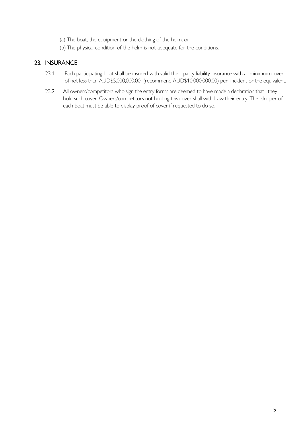- (a) The boat, the equipment or the clothing of the helm, or
- (b) The physical condition of the helm is not adequate for the conditions.

#### 23. INSURANCE

- 23.1 Each participating boat shall be insured with valid third-party liability insurance with a minimum cover of not less than AUD\$5,000,000.00 (recommend AUD\$10,000,000.00) per incident or the equivalent.
- 23.2 All owners/competitors who sign the entry forms are deemed to have made a declaration that they hold such cover. Owners/competitors not holding this cover shall withdraw their entry. The skipper of each boat must be able to display proof of cover if requested to do so.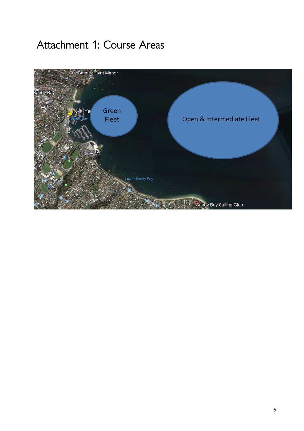## Attachment 1: Course Areas

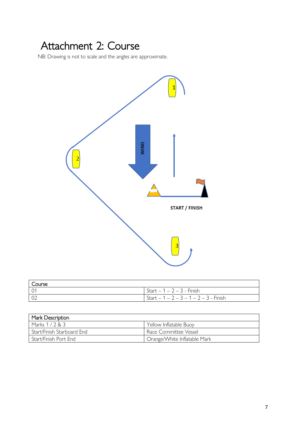## Attachment 2: Course

NB: Drawing is not to scale and the angles are approximate.



| Course          |                                                      |
|-----------------|------------------------------------------------------|
| $\overline{01}$ | Start $-1 - 2 - 3$ - Finish                          |
| 02              | $\sqrt{5}$ Start $-1 - 2 - 3 - 1 - 2 - 3 - 5$ Finish |

| Mark Description           |                                           |  |
|----------------------------|-------------------------------------------|--|
| Marks $1/2$ & $3$          | Yellow Inflatable Buoy                    |  |
| Start/Finish Starboard End | Race Committee Vessel                     |  |
| Start/Finish Port End      | <sup>1</sup> Orange/White Inflatable Mark |  |